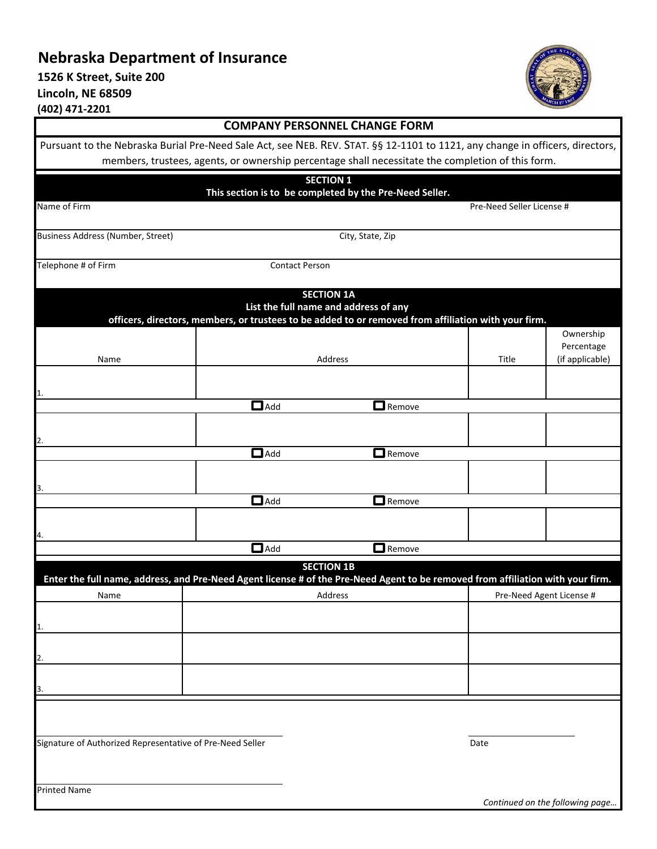## **Nebraska Department of Insurance**

**1526 K Street, Suite 200 Lincoln, NE 68509 (402) 471‐2201**



| <b>COMPANY PERSONNEL CHANGE FORM</b>                                                                                            |                       |                                       |                                                         |                                                                                                      |                                 |  |  |
|---------------------------------------------------------------------------------------------------------------------------------|-----------------------|---------------------------------------|---------------------------------------------------------|------------------------------------------------------------------------------------------------------|---------------------------------|--|--|
| Pursuant to the Nebraska Burial Pre-Need Sale Act, see NEB. REV. STAT. §§ 12-1101 to 1121, any change in officers, directors,   |                       |                                       |                                                         |                                                                                                      |                                 |  |  |
|                                                                                                                                 |                       |                                       |                                                         | members, trustees, agents, or ownership percentage shall necessitate the completion of this form.    |                                 |  |  |
|                                                                                                                                 |                       | <b>SECTION 1</b>                      |                                                         |                                                                                                      |                                 |  |  |
| Name of Firm                                                                                                                    |                       |                                       | This section is to be completed by the Pre-Need Seller. | Pre-Need Seller License #                                                                            |                                 |  |  |
|                                                                                                                                 |                       |                                       |                                                         |                                                                                                      |                                 |  |  |
| Business Address (Number, Street)                                                                                               |                       |                                       | City, State, Zip                                        |                                                                                                      |                                 |  |  |
| Telephone # of Firm                                                                                                             |                       | <b>Contact Person</b>                 |                                                         |                                                                                                      |                                 |  |  |
|                                                                                                                                 |                       |                                       |                                                         |                                                                                                      |                                 |  |  |
|                                                                                                                                 |                       | <b>SECTION 1A</b>                     |                                                         |                                                                                                      |                                 |  |  |
|                                                                                                                                 |                       | List the full name and address of any |                                                         | officers, directors, members, or trustees to be added to or removed from affiliation with your firm. |                                 |  |  |
|                                                                                                                                 |                       |                                       |                                                         |                                                                                                      | Ownership                       |  |  |
| Name                                                                                                                            |                       | Address                               |                                                         | Title                                                                                                | Percentage<br>(if applicable)   |  |  |
|                                                                                                                                 |                       |                                       |                                                         |                                                                                                      |                                 |  |  |
|                                                                                                                                 |                       |                                       |                                                         |                                                                                                      |                                 |  |  |
|                                                                                                                                 | $\overline{\Box}$ Add |                                       | $\Box$ Remove                                           |                                                                                                      |                                 |  |  |
|                                                                                                                                 |                       |                                       |                                                         |                                                                                                      |                                 |  |  |
| 2.                                                                                                                              | $\Box$ Add            |                                       | $\square$ Remove                                        |                                                                                                      |                                 |  |  |
|                                                                                                                                 |                       |                                       |                                                         |                                                                                                      |                                 |  |  |
| з.                                                                                                                              |                       |                                       |                                                         |                                                                                                      |                                 |  |  |
|                                                                                                                                 | $\Box$ Add            |                                       | $\Box$ Remove                                           |                                                                                                      |                                 |  |  |
|                                                                                                                                 |                       |                                       |                                                         |                                                                                                      |                                 |  |  |
| 4.                                                                                                                              | $\Box$ Add            |                                       | $\Box$ Remove                                           |                                                                                                      |                                 |  |  |
|                                                                                                                                 |                       | <b>SECTION 1B</b>                     |                                                         |                                                                                                      |                                 |  |  |
| Enter the full name, address, and Pre-Need Agent license # of the Pre-Need Agent to be removed from affiliation with your firm. |                       |                                       |                                                         |                                                                                                      |                                 |  |  |
| Name                                                                                                                            |                       | Address                               |                                                         |                                                                                                      | Pre-Need Agent License #        |  |  |
| 11.                                                                                                                             |                       |                                       |                                                         |                                                                                                      |                                 |  |  |
|                                                                                                                                 |                       |                                       |                                                         |                                                                                                      |                                 |  |  |
| 2.                                                                                                                              |                       |                                       |                                                         |                                                                                                      |                                 |  |  |
|                                                                                                                                 |                       |                                       |                                                         |                                                                                                      |                                 |  |  |
| 3.                                                                                                                              |                       |                                       |                                                         |                                                                                                      |                                 |  |  |
|                                                                                                                                 |                       |                                       |                                                         |                                                                                                      |                                 |  |  |
| Signature of Authorized Representative of Pre-Need Seller                                                                       |                       |                                       |                                                         | Date                                                                                                 |                                 |  |  |
|                                                                                                                                 |                       |                                       |                                                         |                                                                                                      |                                 |  |  |
|                                                                                                                                 |                       |                                       |                                                         |                                                                                                      |                                 |  |  |
| <b>Printed Name</b>                                                                                                             |                       |                                       |                                                         |                                                                                                      | Continued on the following page |  |  |
|                                                                                                                                 |                       |                                       |                                                         |                                                                                                      |                                 |  |  |